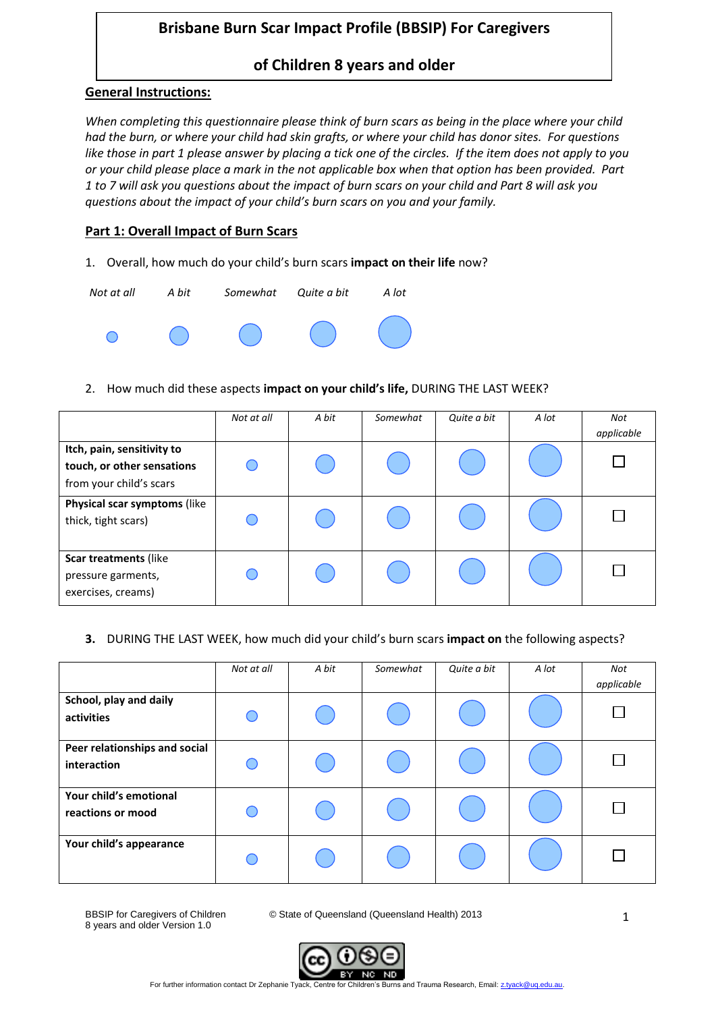# **Brisbane Burn Scar Impact Profile (BBSIP) For Caregivers**

## **of Children 8 years and older**

#### **General Instructions:**

*When completing this questionnaire please think of burn scars as being in the place where your child had the burn, or where your child had skin grafts, or where your child has donor sites. For questions like those in part 1 please answer by placing a tick one of the circles. If the item does not apply to you or your child please place a mark in the not applicable box when that option has been provided. Part 1 to 7 will ask you questions about the impact of burn scars on your child and Part 8 will ask you questions about the impact of your child's burn scars on you and your family.* 

### **Part 1: Overall Impact of Burn Scars**

1. Overall, how much do your child's burn scars **impact on their life** now?



#### 2. How much did these aspects **impact on your child's life,** DURING THE LAST WEEK?

|                                                                                     | Not at all | A bit | Somewhat | Quite a bit | A lot | Not<br>applicable |
|-------------------------------------------------------------------------------------|------------|-------|----------|-------------|-------|-------------------|
| Itch, pain, sensitivity to<br>touch, or other sensations<br>from your child's scars |            |       |          |             |       |                   |
| Physical scar symptoms (like<br>thick, tight scars)                                 |            |       |          |             |       |                   |
| Scar treatments (like<br>pressure garments,<br>exercises, creams)                   |            |       |          |             |       |                   |

#### **3.** DURING THE LAST WEEK, how much did your child's burn scars **impact on** the following aspects?

|                                              | Not at all | A bit | Somewhat | Quite a bit | A lot | Not<br>applicable |
|----------------------------------------------|------------|-------|----------|-------------|-------|-------------------|
| School, play and daily<br>activities         |            |       |          |             |       |                   |
| Peer relationships and social<br>interaction |            |       |          |             |       |                   |
| Your child's emotional<br>reactions or mood  |            |       |          |             |       |                   |
| Your child's appearance                      |            |       |          |             |       |                   |

8 years and older Version 1.0

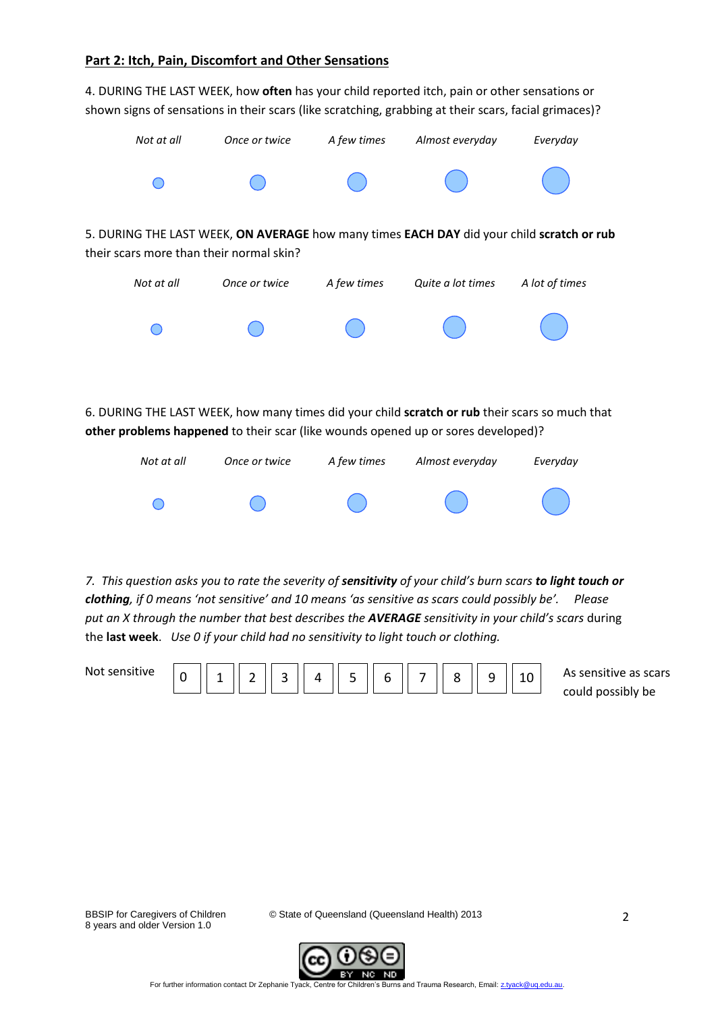#### **Part 2: Itch, Pain, Discomfort and Other Sensations**

4. DURING THE LAST WEEK, how **often** has your child reported itch, pain or other sensations or shown signs of sensations in their scars (like scratching, grabbing at their scars, facial grimaces)?



6. DURING THE LAST WEEK, how many times did your child **scratch or rub** their scars so much that **other problems happened** to their scar (like wounds opened up or sores developed)?



*7. This question asks you to rate the severity of sensitivity of your child's burn scars to light touch or clothing, if 0 means 'not sensitive' and 10 means 'as sensitive as scars could possibly be'. Please put an X through the number that best describes the AVERAGE sensitivity in your child's scars* during the **last week**. *Use 0 if your child had no sensitivity to light touch or clothing.*

| Not sensitive |  |  |  |  |  | As sensitive as scars |
|---------------|--|--|--|--|--|-----------------------|
|               |  |  |  |  |  | could possibly be     |

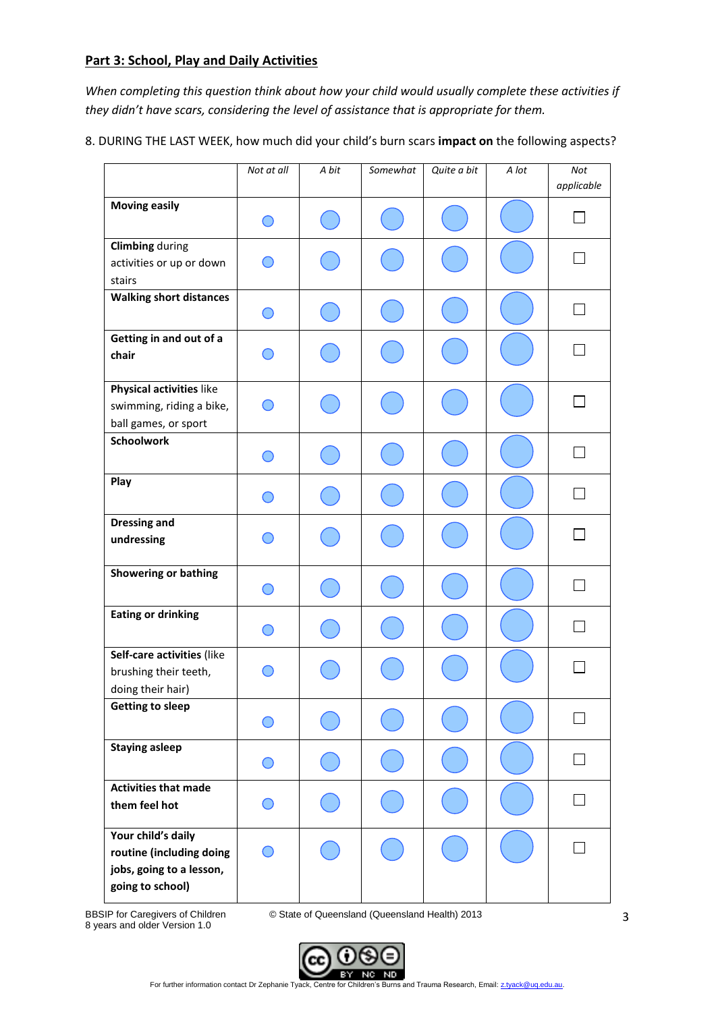#### **Part 3: School, Play and Daily Activities**

*When completing this question think about how your child would usually complete these activities if they didn't have scars, considering the level of assistance that is appropriate for them.* 

8. DURING THE LAST WEEK, how much did your child's burn scars **impact on** the following aspects?

|                                                                                                | Not at all | A bit | Somewhat | Quite a bit | A lot | Not<br>applicable |
|------------------------------------------------------------------------------------------------|------------|-------|----------|-------------|-------|-------------------|
| <b>Moving easily</b>                                                                           |            |       |          |             |       |                   |
| <b>Climbing during</b><br>activities or up or down<br>stairs                                   |            |       |          |             |       |                   |
| <b>Walking short distances</b>                                                                 |            |       |          |             |       |                   |
| Getting in and out of a<br>chair                                                               |            |       |          |             |       |                   |
| Physical activities like<br>swimming, riding a bike,<br>ball games, or sport                   |            |       |          |             |       |                   |
| <b>Schoolwork</b>                                                                              |            |       |          |             |       |                   |
| Play                                                                                           |            |       |          |             |       |                   |
| <b>Dressing and</b><br>undressing                                                              |            |       |          |             |       |                   |
| <b>Showering or bathing</b>                                                                    |            |       |          |             |       |                   |
| <b>Eating or drinking</b>                                                                      |            |       |          |             |       |                   |
| Self-care activities (like<br>brushing their teeth,<br>doing their hair)                       |            |       |          |             |       |                   |
| <b>Getting to sleep</b>                                                                        |            |       |          |             |       |                   |
| <b>Staying asleep</b>                                                                          |            |       |          |             |       |                   |
| <b>Activities that made</b><br>them feel hot                                                   |            |       |          |             |       |                   |
| Your child's daily<br>routine (including doing<br>jobs, going to a lesson,<br>going to school) |            |       |          |             |       |                   |

8 years and older Version 1.0

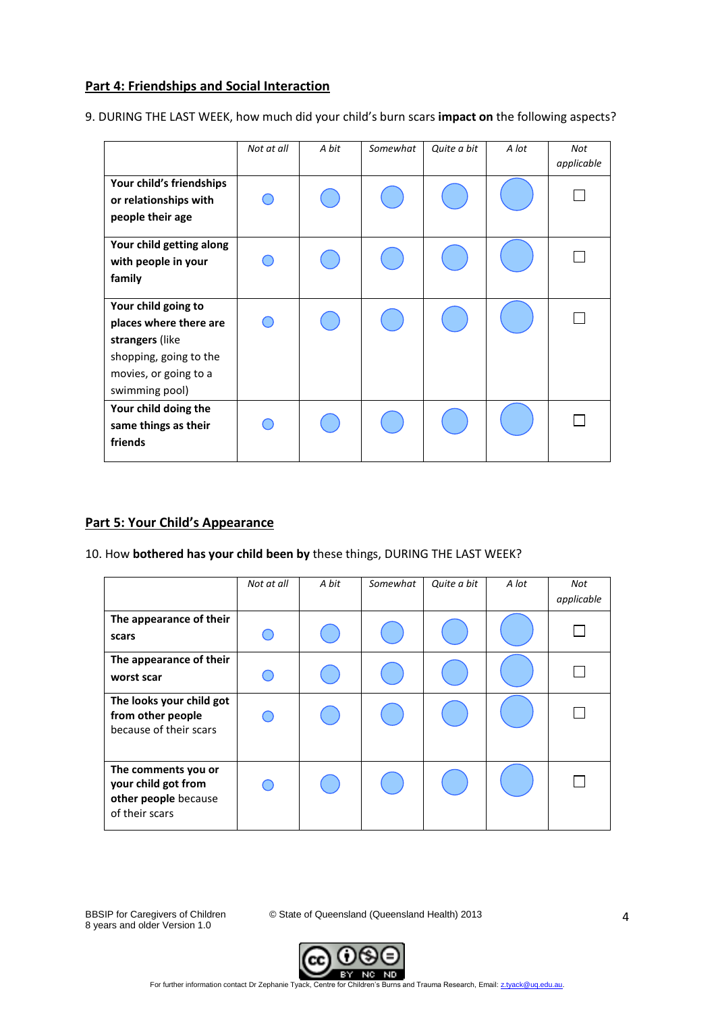#### **Part 4: Friendships and Social Interaction**

9. DURING THE LAST WEEK, how much did your child's burn scars **impact on** the following aspects?

|                                                                                                                                       | Not at all | A bit | Somewhat | Quite a bit | A lot | Not<br>applicable |
|---------------------------------------------------------------------------------------------------------------------------------------|------------|-------|----------|-------------|-------|-------------------|
| Your child's friendships<br>or relationships with<br>people their age                                                                 |            |       |          |             |       |                   |
| Your child getting along<br>with people in your<br>family                                                                             |            |       |          |             |       |                   |
| Your child going to<br>places where there are<br>strangers (like<br>shopping, going to the<br>movies, or going to a<br>swimming pool) |            |       |          |             |       |                   |
| Your child doing the<br>same things as their<br>friends                                                                               |            |       |          |             |       |                   |

#### **Part 5: Your Child's Appearance**

10. How **bothered has your child been by** these things, DURING THE LAST WEEK?

|                                                                                      | Not at all | A bit | Somewhat | Quite a bit | A lot | Not<br>applicable |
|--------------------------------------------------------------------------------------|------------|-------|----------|-------------|-------|-------------------|
| The appearance of their<br>scars                                                     |            |       |          |             |       |                   |
| The appearance of their<br>worst scar                                                |            |       |          |             |       |                   |
| The looks your child got<br>from other people<br>because of their scars              |            |       |          |             |       |                   |
| The comments you or<br>your child got from<br>other people because<br>of their scars |            |       |          |             |       |                   |

8 years and older Version 1.0

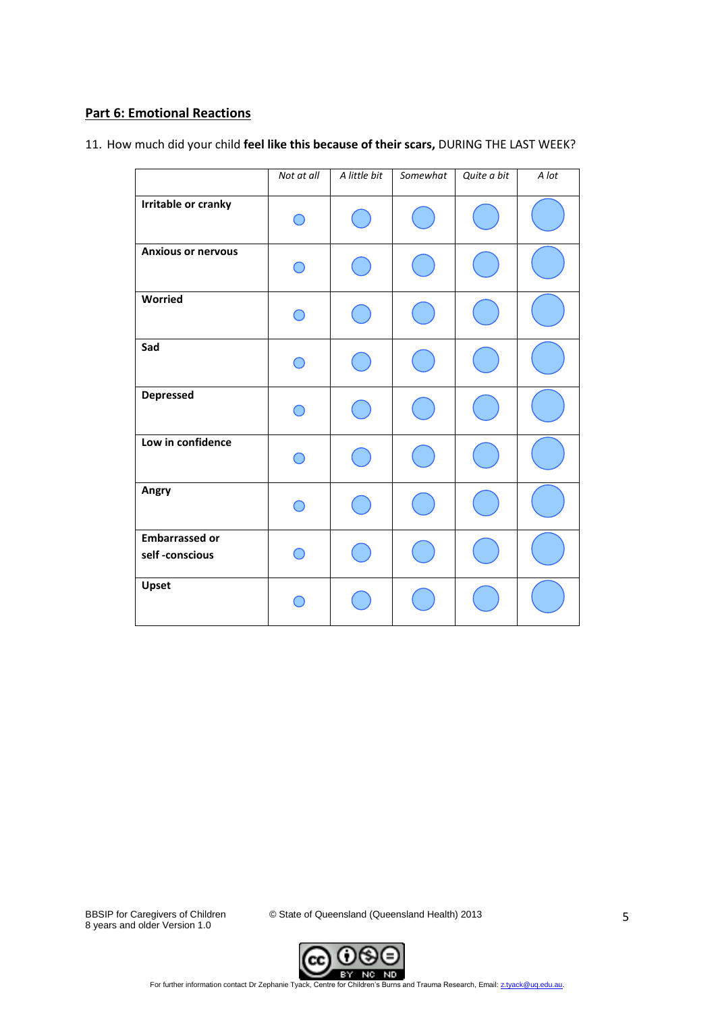## **Part 6: Emotional Reactions**

11. How much did your child **feel like this because of their scars,** DURING THE LAST WEEK?

|                                         | Not at all | A little bit | Somewhat | Quite a bit | A lot |
|-----------------------------------------|------------|--------------|----------|-------------|-------|
|                                         |            |              |          |             |       |
| Irritable or cranky                     |            |              |          |             |       |
| <b>Anxious or nervous</b>               |            |              |          |             |       |
| Worried                                 |            |              |          |             |       |
| Sad                                     |            |              |          |             |       |
| <b>Depressed</b>                        |            |              |          |             |       |
| Low in confidence                       |            |              |          |             |       |
| Angry                                   |            |              |          |             |       |
| <b>Embarrassed or</b><br>self-conscious |            |              |          |             |       |
| Upset                                   |            |              |          |             |       |

8 years and older Version 1.0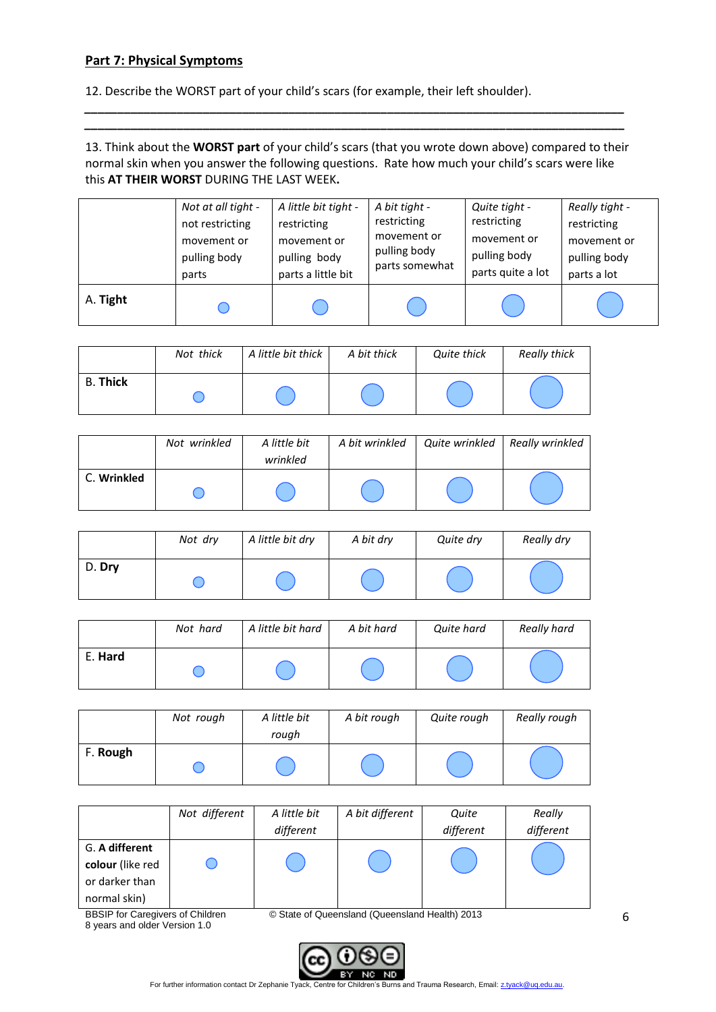#### **Part 7: Physical Symptoms**

12. Describe the WORST part of your child's scars (for example, their left shoulder).

13. Think about the **WORST part** of your child's scars (that you wrote down above) compared to their normal skin when you answer the following questions. Rate how much your child's scars were like this **AT THEIR WORST** DURING THE LAST WEEK**.** 

*\_\_\_\_\_\_\_\_\_\_\_\_\_\_\_\_\_\_\_\_\_\_\_\_\_\_\_\_\_\_\_\_\_\_\_\_\_\_\_\_\_\_\_\_\_\_\_\_\_\_\_\_\_\_\_\_\_\_\_\_\_\_\_\_\_\_\_\_\_\_\_\_\_\_\_\_\_\_\_\_\_\_ \_\_\_\_\_\_\_\_\_\_\_\_\_\_\_\_\_\_\_\_\_\_\_\_\_\_\_\_\_\_\_\_\_\_\_\_\_\_\_\_\_\_\_\_\_\_\_\_\_\_\_\_\_\_\_\_\_\_\_\_\_\_\_\_\_\_\_\_\_\_\_\_\_\_\_\_\_\_\_\_\_\_*

|          | Not at all tight - | A little bit tight - | A bit tight -  | Quite tight -     | Really tight - |
|----------|--------------------|----------------------|----------------|-------------------|----------------|
|          | not restricting    | restricting          | restricting    | restricting       | restricting    |
|          | movement or        | movement or          | movement or    | movement or       | movement or    |
|          | pulling body       | pulling body         | pulling body   | pulling body      | pulling body   |
|          | parts              | parts a little bit   | parts somewhat | parts quite a lot | parts a lot    |
| A. Tight |                    |                      |                |                   |                |

|                 | Not thick | A little bit thick | A bit thick | Quite thick | Really thick |
|-----------------|-----------|--------------------|-------------|-------------|--------------|
| <b>B. Thick</b> |           |                    |             |             |              |

|             | Not wrinkled | A little bit<br>wrinkled | A bit wrinkled | Quite wrinkled | Really wrinkled |
|-------------|--------------|--------------------------|----------------|----------------|-----------------|
| C. Wrinkled |              |                          |                |                |                 |

|        | Not dry | A little bit dry | A bit dry | Quite dry | Really dry |
|--------|---------|------------------|-----------|-----------|------------|
| D. Dry |         |                  |           |           |            |

|         | Not hard | A little bit hard | A bit hard | Quite hard | Really hard |
|---------|----------|-------------------|------------|------------|-------------|
| E. Hard |          |                   |            |            |             |

|          | Not rough | A little bit<br>rough | A bit rough | Quite rough | Really rough |
|----------|-----------|-----------------------|-------------|-------------|--------------|
| F. Rough |           |                       |             |             |              |

|                                                                                           | Not different | A little bit | A bit different | Quite     | Really    |  |
|-------------------------------------------------------------------------------------------|---------------|--------------|-----------------|-----------|-----------|--|
|                                                                                           |               | different    |                 | different | different |  |
| G. A different                                                                            |               |              |                 |           |           |  |
| colour (like red                                                                          |               |              |                 |           |           |  |
| or darker than                                                                            |               |              |                 |           |           |  |
| normal skin)                                                                              |               |              |                 |           |           |  |
| <b>RRSID for Carogivers of Children</b><br>C State of Queensland (Queensland Health) 2013 |               |              |                 |           |           |  |

8 years and older Version 1.0

BBSIP for Caregivers of Children © State of Queensland (Queensland Health) 2013



For further information contact Dr Zephanie Tyack, Centre for Children's Burns and Trauma Research, Email[: z.tyack@uq.edu.au.](mailto:z.tyack@uq.edu.au)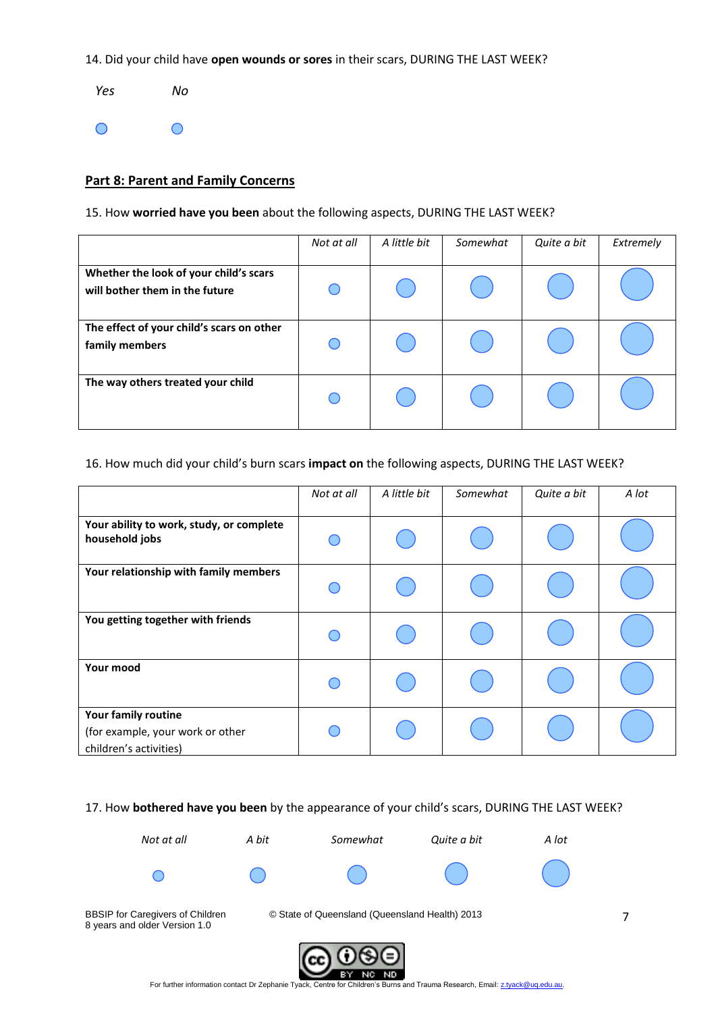14. Did your child have **open wounds or sores** in their scars, DURING THE LAST WEEK?

 *Yes No*   $\bigcirc$  $\bigcirc$ 

#### **Part 8: Parent and Family Concerns**

15. How **worried have you been** about the following aspects, DURING THE LAST WEEK?

|                                                                          | Not at all | A little bit | Somewhat | Quite a bit | Extremely |
|--------------------------------------------------------------------------|------------|--------------|----------|-------------|-----------|
| Whether the look of your child's scars<br>will bother them in the future |            |              |          |             |           |
| The effect of your child's scars on other<br>family members              |            |              |          |             |           |
| The way others treated your child                                        |            |              |          |             |           |

#### 16. How much did your child's burn scars **impact on** the following aspects, DURING THE LAST WEEK?

|                                                                                   | Not at all | A little bit | Somewhat | Quite a bit | A lot |
|-----------------------------------------------------------------------------------|------------|--------------|----------|-------------|-------|
| Your ability to work, study, or complete<br>household jobs                        |            |              |          |             |       |
| Your relationship with family members                                             |            |              |          |             |       |
| You getting together with friends                                                 |            |              |          |             |       |
| Your mood                                                                         |            |              |          |             |       |
| Your family routine<br>(for example, your work or other<br>children's activities) |            |              |          |             |       |

#### 17. How **bothered have you been** by the appearance of your child's scars, DURING THE LAST WEEK?



в١

ND